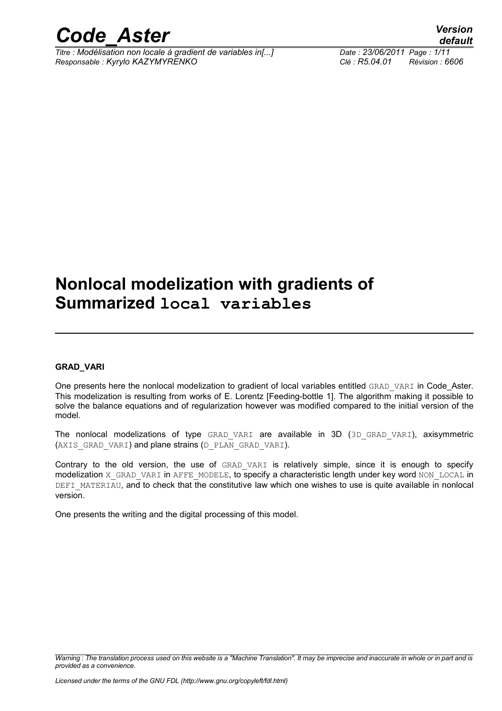

*Titre : Modélisation non locale à gradient de variables in[...] Date : 23/06/2011 Page : 1/11 Responsable : Kyrylo KAZYMYRENKO Clé : R5.04.01 Révision : 6606*

### **Nonlocal modelization with gradients of Summarized local variables**

#### **GRAD\_VARI**

One presents here the nonlocal modelization to gradient of local variables entitled GRAD VARI in Code Aster. This modelization is resulting from works of E. Lorentz [Feeding-bottle 1]. The algorithm making it possible to solve the balance equations and of regularization however was modified compared to the initial version of the model.

The nonlocal modelizations of type GRAD VARI are available in 3D (3D GRAD VARI), axisymmetric (AXIS GRAD VARI) and plane strains (D\_PLAN\_GRAD\_VARI).

Contrary to the old version, the use of GRAD VARI is relatively simple, since it is enough to specify modelization X\_GRAD\_VARI in AFFE\_MODELE, to specify a characteristic length under key word NON\_LOCAL in DEFI\_MATERIAU, and to check that the constitutive law which one wishes to use is quite available in nonlocal version.

One presents the writing and the digital processing of this model.

*Warning : The translation process used on this website is a "Machine Translation". It may be imprecise and inaccurate in whole or in part and is provided as a convenience.*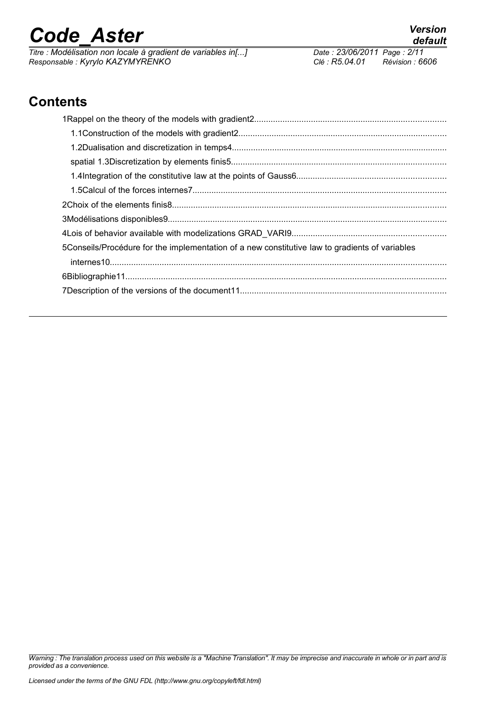*Titre : Modélisation non locale à gradient de variables in[...] Date : 23/06/2011 Page : 2/11 Responsable : Kyrylo KAZYMYRENKO Clé : R5.04.01 Révision : 6606*

### **Contents**

| 5Conseils/Procédure for the implementation of a new constitutive law to gradients of variables |  |
|------------------------------------------------------------------------------------------------|--|
|                                                                                                |  |
|                                                                                                |  |
|                                                                                                |  |
|                                                                                                |  |

*Warning : The translation process used on this website is a "Machine Translation". It may be imprecise and inaccurate in whole or in part and is provided as a convenience.*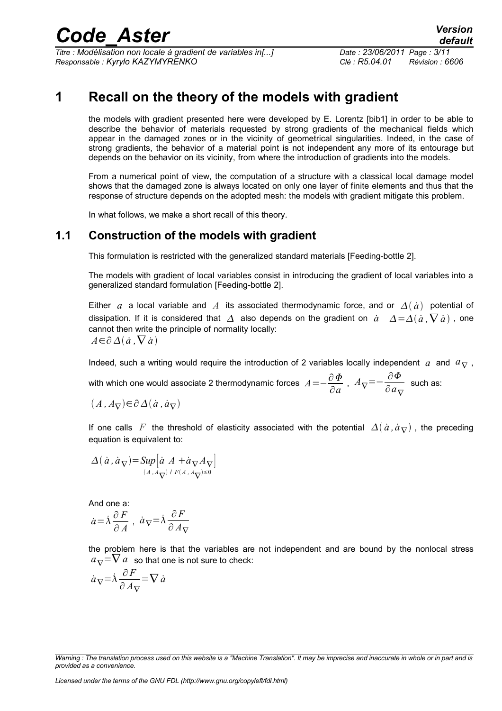*Titre : Modélisation non locale à gradient de variables in[...] Date : 23/06/2011 Page : 3/11 Responsable : Kyrylo KAZYMYRENKO Clé : R5.04.01 Révision : 6606*

#### **1 Recall on the theory of the models with gradient**

the models with gradient presented here were developed by E. Lorentz [bib1] in order to be able to describe the behavior of materials requested by strong gradients of the mechanical fields which appear in the damaged zones or in the vicinity of geometrical singularities. Indeed, in the case of strong gradients, the behavior of a material point is not independent any more of its entourage but depends on the behavior on its vicinity, from where the introduction of gradients into the models.

From a numerical point of view, the computation of a structure with a classical local damage model shows that the damaged zone is always located on only one layer of finite elements and thus that the response of structure depends on the adopted mesh: the models with gradient mitigate this problem.

In what follows, we make a short recall of this theory.

#### **1.1 Construction of the models with gradient**

This formulation is restricted with the generalized standard materials [Feeding-bottle 2].

The models with gradient of local variables consist in introducing the gradient of local variables into a generalized standard formulation [Feeding-bottle 2].

Either *a* a local variable and *A* its associated thermodynamic force, and or  $\Delta(\dot{a})$  potential of dissipation. If it is considered that  $\Delta$  also depends on the gradient on  $\dot{a}$   $\Delta = \Delta(\dot{a}, \nabla \dot{a})$ , one cannot then write the principle of normality locally: *A*∈∂ $\Delta$ ( $\dot{a}$ , $\nabla$  $\dot{a}$ )

Indeed, such a writing would require the introduction of 2 variables locally independent  $a$  and  $a_{\nabla}$ ,

with which one would associate 2 thermodynamic forces  $A\!=\!-\!\frac{\partial\varPhi}{\partial\varphi}$  $rac{\partial \Phi}{\partial a}$ ,  $A_{\nabla} = -\frac{\partial \Phi}{\partial a_{\nabla}}$  $\frac{\partial^2 I}{\partial a}$  such as:

 $(A, A<sub>∇</sub>) ∈ ∂<sub>Δ</sub>(*a*, *a*<sub>∇</sub>)$ 

If one calls *F* the threshold of elasticity associated with the potential  $\Delta(\dot{a}, \dot{a}_{\nabla})$ , the preceding equation is equivalent to:

$$
\Delta(\dot{a}, \dot{a}_{\nabla}) = \sup_{(A, A_{\nabla})} [\dot{a} A + \dot{a}_{\nabla} A_{\nabla}]
$$

And one a:

$$
\dot{a}\!=\!\dot{\lambda}\frac{\partial\,F}{\partial\,A} \ , \ \dot{a}_{\,\nabla}\!=\!\dot{\lambda}\frac{\partial\,F}{\partial\,A_{\,\nabla}}
$$

the problem here is that the variables are not independent and are bound by the nonlocal stress  $a_{\nabla}$ = $\nabla a$  so that one is not sure to check:

$$
\dot{a}_{\nabla} = \dot{\lambda} \frac{\partial F}{\partial A_{\nabla}} = \nabla \dot{a}
$$

*Licensed under the terms of the GNU FDL (http://www.gnu.org/copyleft/fdl.html)*

*Warning : The translation process used on this website is a "Machine Translation". It may be imprecise and inaccurate in whole or in part and is provided as a convenience.*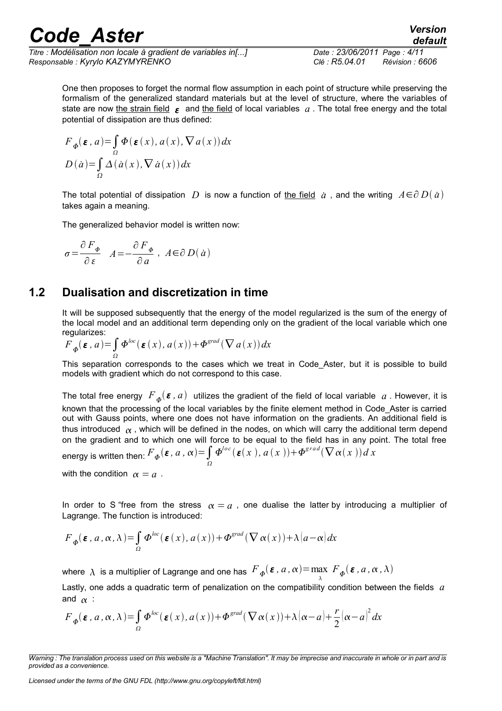*Titre : Modélisation non locale à gradient de variables in[...] Date : 23/06/2011 Page : 4/11 Responsable : Kyrylo KAZYMYRENKO Clé : R5.04.01 Révision : 6606*

*default*

One then proposes to forget the normal flow assumption in each point of structure while preserving the formalism of the generalized standard materials but at the level of structure, where the variables of state are now the strain field  $\epsilon$  and the field of local variables  $a$ . The total free energy and the total potential of dissipation are thus defined:

$$
F_{\Phi}(\varepsilon, a) = \int_{\Omega} \Phi(\varepsilon(x), a(x), \nabla a(x)) dx
$$

$$
D(\dot{a}) = \int_{\Omega} \Delta(\dot{a}(x), \nabla \dot{a}(x)) dx
$$

The total potential of dissipation  $D$  is now a function of <u>the field</u>  $\dot{a}$  , and the writing  $A\!\in\!\partial\,D(\,\dot{a}\,)$ takes again a meaning.

The generalized behavior model is written now:

$$
\sigma = \frac{\partial F_{\phi}}{\partial \,\varepsilon} \quad A = -\frac{\partial F_{\phi}}{\partial \,a} \quad A \in \partial D(\,a)
$$

#### **1.2 Dualisation and discretization in time**

It will be supposed subsequently that the energy of the model regularized is the sum of the energy of the local model and an additional term depending only on the gradient of the local variable which one regularizes:

$$
F_{\phi}(\boldsymbol{\varepsilon}, a) = \int_{\Omega} \boldsymbol{\Phi}^{loc}(\boldsymbol{\varepsilon}(x), a(x)) + \boldsymbol{\Phi}^{grad}(\nabla a(x)) dx
$$

This separation corresponds to the cases which we treat in Code\_Aster, but it is possible to build models with gradient which do not correspond to this case.

The total free energy  $\,F_{\,\bm{\phi}}(\bm{\varepsilon}$  ,  $a)\,$  utilizes the gradient of the field of local variable  $\,a$  . However, it is known that the processing of the local variables by the finite element method in Code\_Aster is carried out with Gauss points, where one does not have information on the gradients. An additional field is thus introduced  $\alpha$ , which will be defined in the nodes, on which will carry the additional term depend on the gradient and to which one will force to be equal to the field has in any point. The total free energy is written then:  $\displaystyle{F_{\boldsymbol{\phi}}(\boldsymbol{\varepsilon}$  *,*  $a$  *,*  $\alpha)$   $=$   $\int\limits_{\Omega}$  $\Phi^{loc}(\mathbf{E}(x), a(x)) + \Phi^{grad}(\nabla \alpha(x))dx$ 

with the condition  $\alpha = a$ .

In order to S "free from the stress  $\alpha = a$ , one dualise the latter by introducing a multiplier of Lagrange. The function is introduced:

$$
F_{\phi}(\varepsilon, a, \alpha, \lambda) = \int_{\Omega} \Phi^{loc}(\varepsilon(x), a(x)) + \Phi^{grad}(\nabla \alpha(x)) + \lambda (a - \alpha) dx
$$

where  $\,\lambda\,$  is a multiplier of Lagrange and one has  $\,F_{\,\boldsymbol{\varPhi}}(\boldsymbol{\varepsilon}$  ,  $a$  ,  $\alpha)$   $=$   $\max\limits_{\lambda}$  $\lim_{\lambda} F_{\Phi}(\boldsymbol{\varepsilon}, a, \alpha, \lambda)$ 

Lastly, one adds a quadratic term of penalization on the compatibility condition between the fields *a* and  $\alpha$  :

$$
F_{\phi}(\varepsilon, a, \alpha, \lambda) = \int_{\Omega} \Phi^{loc}(\varepsilon(x), a(x)) + \Phi^{grad}(\nabla \alpha(x)) + \lambda (\alpha - a) + \frac{r}{2}(\alpha - a)^2 dx
$$

*Warning : The translation process used on this website is a "Machine Translation". It may be imprecise and inaccurate in whole or in part and is provided as a convenience.*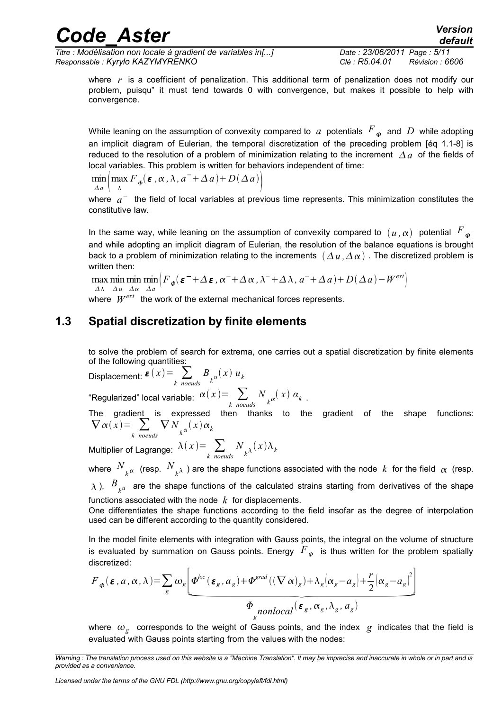*Titre : Modélisation non locale à gradient de variables in[...] Date : 23/06/2011 Page : 5/11 Responsable : Kyrylo KAZYMYRENKO Clé : R5.04.01 Révision : 6606*

where *r* is a coefficient of penalization. This additional term of penalization does not modify our problem, puisqu" it must tend towards 0 with convergence, but makes it possible to help with convergence.

While leaning on the assumption of convexity compared to  $\,a\,$  potentials  $\,F_{\,\bm{\phi}}\,$  and  $\,D\,$  while adopting an implicit diagram of Eulerian, the temporal discretization of the preceding problem [éq 1.1-8] is reduced to the resolution of a problem of minimization relating to the increment  $A_a$  of the fields of local variables. This problem is written for behaviors independent of time:

 $\min_{\Delta a} \left( \max_{\lambda} F_{\varphi}(\boldsymbol{\varepsilon}, \alpha, \lambda, a^{-} + \Delta a) + D(\Delta a) \right)$  $\Delta a$   $\lambda$  $\begin{array}{c} \hline \end{array}$ 

where  $a^-$  the field of local variables at previous time represents. This minimization constitutes the constitutive law.

In the same way, while leaning on the assumption of convexity compared to  $(u, \alpha)$  potential  $F_{\phi}$ and while adopting an implicit diagram of Eulerian, the resolution of the balance equations is brought back to a problem of minimization relating to the increments  $(\Delta u, \Delta \alpha)$ . The discretized problem is written then:

max min min  $\lim_{\Delta} \left( F_{\phi}(\boldsymbol{\varepsilon}^- + \Delta \boldsymbol{\varepsilon}, \alpha^- + \Delta \alpha, \lambda^- + \Delta \lambda, a^- + \Delta a) + D(\Delta a) - W^{ext} \right)$  $\Delta \lambda$   $\Delta u$   $\Delta \alpha$   $\Delta a$ 

where  $|W^{ext}|$  the work of the external mechanical forces represents.

#### **1.3 Spatial discretization by finite elements**

to solve the problem of search for extrema, one carries out a spatial discretization by finite elements of the following quantities:

Displacement:  $\boldsymbol{\varepsilon}(x) = \sum_{k \text{ needed}} B_{k} u(x) u_k$  $k$  *noeuds*  $k$  *k*<br>
"Regularized" local variable:  $\alpha(x) = \sum_{k \text{ } \text{ } \text{ } \text{ } \text{ } \text{ } n \text{ } \text{ } \text{ } \text{ } \text{ } \text{ } k}$  $N_{k^{\alpha}}(x)$   $\alpha_{k}$ .

The gradient is expressed then thanks to the gradient of the shape functions:  $\nabla \alpha(x) = \sum_{k \text{ needs}}$ 

Multiplier of Lagrange:  $\lambda(x) = \sum_{k \text{ } nodes}$  $N_{\kappa^{\lambda}}(x)\lambda_{k}$ 

where  $\frac{N}{k^{\alpha}}$  (resp.  $\frac{N}{k^{\lambda}}$  ) are the shape functions associated with the node  $k$  for the field  $\alpha$  (resp.

 $\lambda$  ),  $B_{\overline{k}^u}$  are the shape functions of the calculated strains starting from derivatives of the shape functions associated with the node *k* for displacements.

One differentiates the shape functions according to the field insofar as the degree of interpolation used can be different according to the quantity considered.

In the model finite elements with integration with Gauss points, the integral on the volume of structure is evaluated by summation on Gauss points. Energy  $\,F_{\,\varPhi}\,$  is thus written for the problem spatially discretized:

$$
\nabla \alpha(x) = \sum_{k \text{ noeuds}} \nabla N_{k} \alpha(x) \alpha_{k}
$$
\nMultiplier of Lagrange:  $\lambda(x) = \sum_{k \text{ noeuds}} N_{k} \lambda(x) \lambda_{k}$   
\nwhere  $N_{k} \alpha$  (resp.  $N_{k} \lambda$ ) are the shape functions associated with the node *k* for the  $\lambda$ ),  $B_{k} \mu$  are the shape functions of the calculated strains starting from derivatives functions associated with the node *k* for displacements.  
\nOne differentiates the shape functions according to the field insofar as the degree of *u* used can be different according to the quantity considered.  
\nIn the model finite elements with integration with Gauss points, the integral on the volume is evaluated by summation on Gauss points. Energy  $F_{\phi}$  is thus written for the proof discretized:  
\n
$$
F_{\phi}(\epsilon, a, \alpha, \lambda) = \sum_{g} \omega_{g} \underbrace{\left[ \phi^{loc}(\epsilon_{g}, a_{g}) + \phi^{grad}((\nabla \alpha)_{g}) + \lambda_{g} (\alpha_{g} - a_{g}) + \frac{r}{2} (\alpha_{g} - a_{g})^{2} \right]}_{q \text{ nonlocal } (\epsilon_{g}, \alpha_{g}, \lambda_{g}, a_{g})}
$$
  
\nwhere  $\omega_{g}$  corresponds to the weight of Gauss points, and the index *g* indicates the

where  $\omega_{g}$  corresponds to the weight of Gauss points, and the index  $g$  indicates that the field is evaluated with Gauss points starting from the values with the nodes:

*Warning : The translation process used on this website is a "Machine Translation". It may be imprecise and inaccurate in whole or in part and is provided as a convenience.*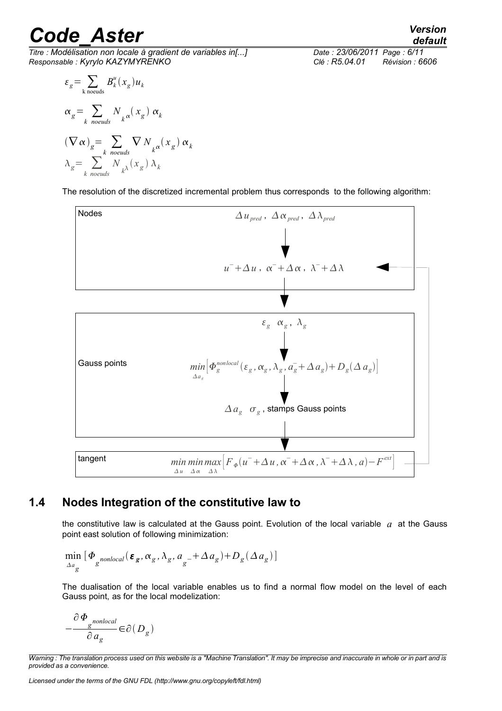*Titre : Modélisation non locale à gradient de variables in[...] Date : 23/06/2011 Page : 6/11 Responsable : Kyrylo KAZYMYRENKO Clé : R5.04.01 Révision : 6606*

$$
\varepsilon_{g} = \sum_{k \text{ needs}} B_{k}^{u}(x_{g}) u_{k}
$$
  
\n
$$
\alpha_{g} = \sum_{k \text{ needs}} N_{k} \alpha(x_{g}) \alpha_{k}
$$
  
\n
$$
(\nabla \alpha)_{g} = \sum_{k \text{ includes}} \nabla N_{k} \alpha(x_{g}) \alpha_{k}
$$
  
\n
$$
\lambda_{g} = \sum_{k \text{ includes}} N_{k} \alpha(x_{g}) \lambda_{k}
$$

The resolution of the discretized incremental problem thus corresponds to the following algorithm:



#### **1.4 Nodes Integration of the constitutive law to**

<span id="page-5-0"></span>the constitutive law is calculated at the Gauss point. Evolution of the local variable *a* at the Gauss point east solution of following minimization:

$$
\min_{\Delta a_g} \left[ \Phi_{\text{g}nonlocal}(\boldsymbol{\varepsilon}_g, \alpha_g, \lambda_g, a_g + \Delta a_g) + D_g(\Delta a_g) \right]
$$

The dualisation of the local variable enables us to find a normal flow model on the level of each Gauss point, as for the local modelization:

$$
-\frac{\partial\varPhi_{g}{}^{nonlocal}}{\partial\,a_g}{\in}\partial\bigl(\,D_g^{}\bigr)
$$

*default*

*Warning : The translation process used on this website is a "Machine Translation". It may be imprecise and inaccurate in whole or in part and is provided as a convenience.*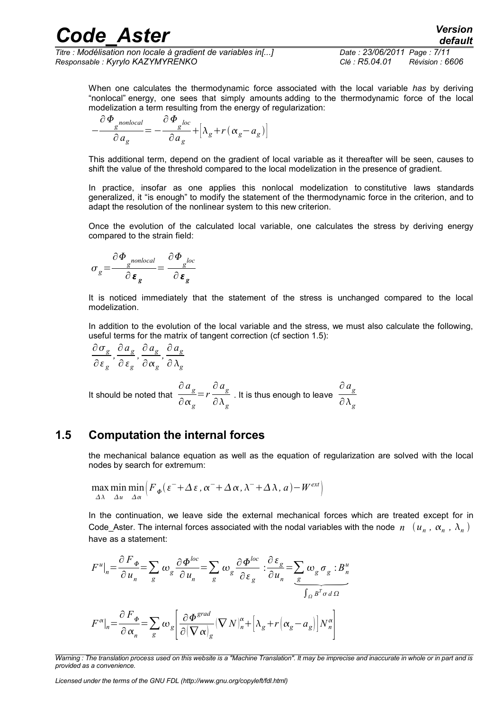*Titre : Modélisation non locale à gradient de variables in[...] Date : 23/06/2011 Page : 7/11 Responsable : Kyrylo KAZYMYRENKO Clé : R5.04.01 Révision : 6606*

When one calculates the thermodynamic force associated with the local variable *has* by deriving "nonlocal" energy, one sees that simply amounts adding to the thermodynamic force of the local modelization a term resulting from the energy of regularization:

$$
-\frac{\partial \Phi_{g}^{nonlocal}}{\partial a_g} = -\frac{\partial \Phi_{g}^{loc}}{\partial a_g} + \left[\lambda_g + r(\alpha_g - a_g)\right]
$$

This additional term, depend on the gradient of local variable as it thereafter will be seen, causes to shift the value of the threshold compared to the local modelization in the presence of gradient.

In practice, insofar as one applies this nonlocal modelization to constitutive laws standards generalized, it "is enough" to modify the statement of the thermodynamic force in the criterion, and to adapt the resolution of the nonlinear system to this new criterion.

Once the evolution of the calculated local variable, one calculates the stress by deriving energy compared to the strain field:

$$
\sigma_g = \frac{\partial \Phi_{g^{nonlocal}}}{\partial \varepsilon_g} = \frac{\partial \Phi_{g^{loc}}}{\partial \varepsilon_g}
$$

It is noticed immediately that the statement of the stress is unchanged compared to the local modelization.

In addition to the evolution of the local variable and the stress, we must also calculate the following, useful terms for the matrix of tangent correction (cf section [1.5\)](#page-6-0):

$$
\frac{\partial \sigma_g}{\partial \varepsilon_g}, \frac{\partial a_g}{\partial \varepsilon_g}, \frac{\partial a_g}{\partial \alpha_g}, \frac{\partial a_g}{\partial \lambda_g}
$$

It should be noted that ∂ *a g* ∂ *g* =*r* ∂ *a g* ∂ *g* . It is thus enough to leave ∂ *a g*  $\partial \lambda_g^+$ 

#### **1.5 Computation the internal forces**

<span id="page-6-0"></span>the mechanical balance equation as well as the equation of regularization are solved with the local nodes by search for extremum:

$$
\max_{\Delta\lambda} \min_{\Delta u} \min_{\Delta\alpha} \left( F_{\phi}(\varepsilon^{-} + \Delta \varepsilon, \alpha^{-} + \Delta \alpha, \lambda^{-} + \Delta \lambda, a) - W^{ext} \right)
$$

In the continuation, we leave side the external mechanical forces which are treated except for in Code\_Aster. The internal forces associated with the nodal variables with the node  $n^-(u_n^-, \alpha_n^-, \lambda_n^-)$ have as a statement:

$$
F^{u}|_{n} = \frac{\partial F_{\phi}}{\partial u_{n}} = \sum_{g} \omega_{g} \frac{\partial \Phi^{loc}}{\partial u_{n}} = \sum_{g} \omega_{g} \frac{\partial \Phi^{loc}}{\partial \varepsilon_{g}} : \frac{\partial \varepsilon_{g}}{\partial u_{n}} = \sum_{g} \omega_{g} \sigma_{g} : B^{u}_{n}
$$

$$
F^{\alpha}|_{n} = \frac{\partial F_{\phi}}{\partial \alpha_{n}} = \sum_{g} \omega_{g} \left[ \frac{\partial \Phi^{grad}}{\partial (\nabla \alpha)_{g}} (\nabla N)^{\alpha}_{n} + \left[ \lambda_{g} + r(\alpha_{g} - a_{g}) \right] N^{\alpha}_{n} \right]
$$

*Licensed under the terms of the GNU FDL (http://www.gnu.org/copyleft/fdl.html)*

*Warning : The translation process used on this website is a "Machine Translation". It may be imprecise and inaccurate in whole or in part and is provided as a convenience.*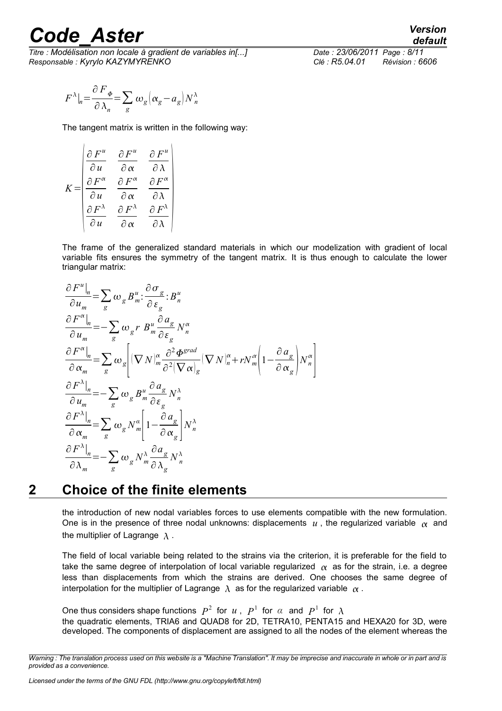*Titre : Modélisation non locale à gradient de variables in[...] Date : 23/06/2011 Page : 8/11 Responsable : Kyrylo KAZYMYRENKO Clé : R5.04.01 Révision : 6606*

$$
F^{\lambda}|_{n} = \frac{\partial F_{\phi}}{\partial \lambda_{n}} = \sum_{g} \omega_{g} \left[ \alpha_{g} - a_{g} \right] N^{\lambda}_{n}
$$

The tangent matrix is written in the following way:

$$
K = \begin{pmatrix} \frac{\partial F^u}{\partial u} & \frac{\partial F^u}{\partial \alpha} & \frac{\partial F^u}{\partial \lambda} \\ \frac{\partial F^\alpha}{\partial u} & \frac{\partial F^\alpha}{\partial \alpha} & \frac{\partial F^\alpha}{\partial \lambda} \\ \frac{\partial F^\lambda}{\partial u} & \frac{\partial F^\lambda}{\partial \alpha} & \frac{\partial F^\lambda}{\partial \lambda} \end{pmatrix}
$$

The frame of the generalized standard materials in which our modelization with gradient of local variable fits ensures the symmetry of the tangent matrix. It is thus enough to calculate the lower triangular matrix:

$$
\frac{\partial F^u|_n}{\partial u_m} = \sum_g \omega_g B^u_m : \frac{\partial \sigma_g}{\partial \varepsilon_g} : B^u_n
$$
\n
$$
\frac{\partial F^\alpha|_n}{\partial u_m} = -\sum_g \omega_g r B^u_m \frac{\partial a_g}{\partial \varepsilon_g} N^\alpha_n
$$
\n
$$
\frac{\partial F^\alpha|_n}{\partial \alpha_m} = \sum_g \omega_g \left[ (\nabla N)^\alpha_m \frac{\partial^2 \Phi^{grad}}{\partial^2 (\nabla \alpha)_g} (\nabla N)^\alpha_n + r N^\alpha_m \left( 1 - \frac{\partial a_g}{\partial \alpha_g} \right) N^\alpha_n \right]
$$
\n
$$
\frac{\partial F^\lambda|_n}{\partial u_m} = -\sum_g \omega_g B^u_m \frac{\partial a_g}{\partial \varepsilon_g} N^\lambda_n
$$
\n
$$
\frac{\partial F^\lambda|_n}{\partial \alpha_m} = \sum_g \omega_g N^\alpha_m \left[ 1 - \frac{\partial a_g}{\partial \alpha_g} \right] N^\lambda_n
$$
\n
$$
\frac{\partial F^\lambda|_n}{\partial \lambda_m} = -\sum_g \omega_g N^\lambda_m \frac{\partial a_g}{\partial \lambda_g} N^\lambda_n
$$

#### **2 Choice of the finite elements**

the introduction of new nodal variables forces to use elements compatible with the new formulation. One is in the presence of three nodal unknowns: displacements  $u$ , the regularized variable  $\alpha$  and the multiplier of Lagrange  $\lambda$ .

The field of local variable being related to the strains via the criterion, it is preferable for the field to take the same degree of interpolation of local variable regularized  $\alpha$  as for the strain, i.e. a degree less than displacements from which the strains are derived. One chooses the same degree of interpolation for the multiplier of Lagrange  $\lambda$  as for the regularized variable  $\alpha$ .

One thus considers shape functions  $P^2$  for *u*,  $P^1$  for *α* and  $P^1$  for  $\lambda$ the quadratic elements, TRIA6 and QUAD8 for 2D, TETRA10, PENTA15 and HEXA20 for 3D, were developed. The components of displacement are assigned to all the nodes of the element whereas the

*Warning : The translation process used on this website is a "Machine Translation". It may be imprecise and inaccurate in whole or in part and is provided as a convenience.*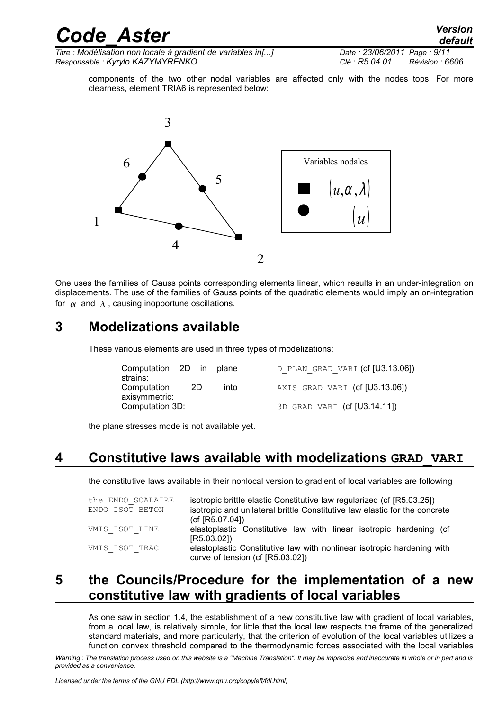*Titre : Modélisation non locale à gradient de variables in[...] Date : 23/06/2011 Page : 9/11 Responsable : Kyrylo KAZYMYRENKO Clé : R5.04.01 Révision : 6606*

components of the two other nodal variables are affected only with the nodes tops. For more clearness, element TRIA6 is represented below:



One uses the families of Gauss points corresponding elements linear, which results in an under-integration on displacements. The use of the families of Gauss points of the quadratic elements would imply an on-integration for  $\alpha$  and  $\lambda$ , causing inopportune oscillations.

### **3 Modelizations available**

These various elements are used in three types of modelizations:

| Computation 2D in |    |  | plane |  |
|-------------------|----|--|-------|--|
| strains:          |    |  |       |  |
| Computation       | 2D |  | into  |  |
| axisymmetric:     |    |  |       |  |
| Computation 3D:   |    |  |       |  |

D\_PLAN\_GRAD\_VARI (cf [U3.13.06]) AXIS GRAD VARI (cf [U3.13.06])

3D GRAD VARI (cf [U3.14.11])

the plane stresses mode is not available yet.

### **4 Constitutive laws available with modelizations GRAD\_VARI**

the constitutive laws available in their nonlocal version to gradient of local variables are following

| the ENDO SCALAIRE<br>ENDO ISOT BETON | isotropic brittle elastic Constitutive law regularized (cf [R5.03.25])<br>isotropic and unilateral brittle Constitutive law elastic for the concrete<br>(cf [R5.07.04]) |  |  |
|--------------------------------------|-------------------------------------------------------------------------------------------------------------------------------------------------------------------------|--|--|
| VMIS ISOT LINE                       | elastoplastic Constitutive law with linear isotropic hardening (cf<br>[R5.03.02]                                                                                        |  |  |
| VMIS ISOT TRAC                       | elastoplastic Constitutive law with nonlinear isotropic hardening with<br>curve of tension (cf [R5.03.02])                                                              |  |  |

### **5 the Councils/Procedure for the implementation of a new constitutive law with gradients of local variables**

As one saw in section [1.4,](#page-5-0) the establishment of a new constitutive law with gradient of local variables, from a local law, is relatively simple, for little that the local law respects the frame of the generalized standard materials, and more particularly, that the criterion of evolution of the local variables utilizes a function convex threshold compared to the thermodynamic forces associated with the local variables

*Warning : The translation process used on this website is a "Machine Translation". It may be imprecise and inaccurate in whole or in part and is provided as a convenience.*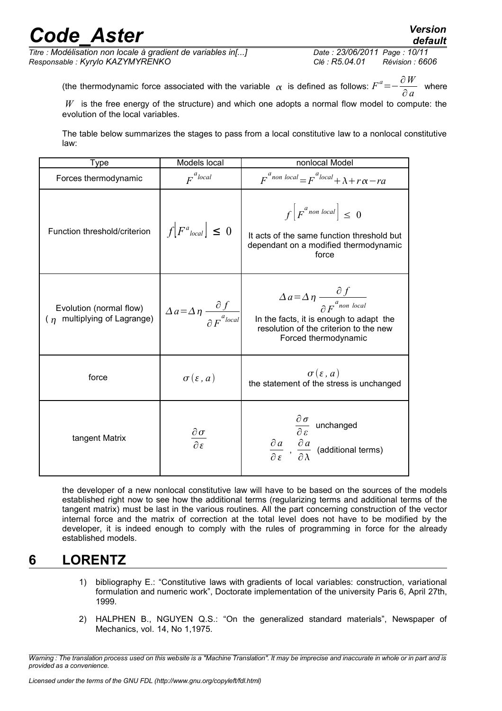*Titre : Modélisation non locale à gradient de variables in[...] Date : 23/06/2011 Page : 10/11 Responsable : Kyrylo KAZYMYRENKO Clé : R5.04.01 Révision : 6606*

*default*

(the thermodynamic force associated with the variable  $\alpha$  is defined as follows:  $F^a$ = $-$ ∂*W*  $\frac{\partial}{\partial a}$  where

*W* is the free energy of the structure) and which one adopts a normal flow model to compute: the evolution of the local variables.

The table below summarizes the stages to pass from a local constitutive law to a nonlocal constitutive law:

| Type                                                      | Models local                                                                      | nonlocal Model                                                                                                                                                                         |
|-----------------------------------------------------------|-----------------------------------------------------------------------------------|----------------------------------------------------------------------------------------------------------------------------------------------------------------------------------------|
| Forces thermodynamic                                      | $F^{a}$ local                                                                     | $F^{a_{non local}} = F^{a_{local}} + \lambda + r\alpha - ra$                                                                                                                           |
| Function threshold/criterion                              | $f[F^a_{local}] \leq 0$                                                           | $f\left F^{a}$ non local $\right \leq 0$<br>It acts of the same function threshold but<br>dependant on a modified thermodynamic<br>force                                               |
| Evolution (normal flow)<br>multiplying of Lagrange)<br>(n | $\Delta a = \Delta \eta \left. \frac{\partial f}{\partial F^{a_{local}}} \right $ | $\Delta a = \Delta \eta \frac{\partial f}{\partial F_{\text{non local}}}$<br>In the facts, it is enough to adapt the<br>resolution of the criterion to the new<br>Forced thermodynamic |
| force                                                     | $\sigma(\varepsilon, a)$                                                          | $\sigma(\varepsilon, a)$<br>the statement of the stress is unchanged                                                                                                                   |
| tangent Matrix                                            | $rac{\partial \sigma}{\partial \varepsilon}$                                      | $\frac{\partial \sigma}{\partial \varepsilon}$ unchanged<br>$\frac{\partial a}{\partial \epsilon}$ , $\frac{\partial a}{\partial \lambda}$ (additional terms)                          |

the developer of a new nonlocal constitutive law will have to be based on the sources of the models established right now to see how the additional terms (regularizing terms and additional terms of the tangent matrix) must be last in the various routines. All the part concerning construction of the vector internal force and the matrix of correction at the total level does not have to be modified by the developer, it is indeed enough to comply with the rules of programming in force for the already established models.

### **6 LORENTZ**

- 1) bibliography E.: "Constitutive laws with gradients of local variables: construction, variational formulation and numeric work", Doctorate implementation of the university Paris 6, April 27th, 1999.
- 2) HALPHEN B., NGUYEN Q.S.: "On the generalized standard materials", Newspaper of Mechanics, vol. 14, No 1,1975.

*Warning : The translation process used on this website is a "Machine Translation". It may be imprecise and inaccurate in whole or in part and is provided as a convenience.*